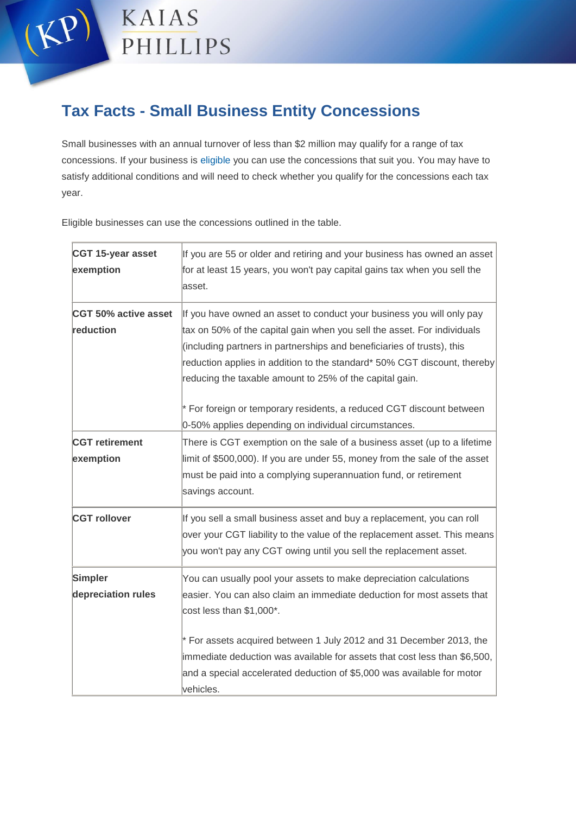

## **Tax Facts - Small Business Entity Concessions**

Small businesses with an annual turnover of less than \$2 million may qualify for a range of tax concessions. If your business is [eligible y](https://www.ato.gov.au/Business/Small-business-entity-concessions/Eligibility/)ou can use the concessions that suit you. You may have to satisfy additional conditions and will need to check whether you qualify for the concessions each tax year.

Eligible businesses can use the concessions outlined in the table.

| CGT 15-year asset<br>exemption     | If you are 55 or older and retiring and your business has owned an asset<br>for at least 15 years, you won't pay capital gains tax when you sell the<br>asset.                                                                                                                                                                                                                                                                            |
|------------------------------------|-------------------------------------------------------------------------------------------------------------------------------------------------------------------------------------------------------------------------------------------------------------------------------------------------------------------------------------------------------------------------------------------------------------------------------------------|
| CGT 50% active asset<br>reduction  | If you have owned an asset to conduct your business you will only pay<br>tax on 50% of the capital gain when you sell the asset. For individuals<br>(including partners in partnerships and beneficiaries of trusts), this<br>reduction applies in addition to the standard* 50% CGT discount, thereby<br>reducing the taxable amount to 25% of the capital gain.<br>* For foreign or temporary residents, a reduced CGT discount between |
| <b>CGT</b> retirement<br>exemption | 0-50% applies depending on individual circumstances.<br>There is CGT exemption on the sale of a business asset (up to a lifetime<br>limit of \$500,000). If you are under 55, money from the sale of the asset<br>must be paid into a complying superannuation fund, or retirement<br>savings account.                                                                                                                                    |
| <b>CGT rollover</b>                | If you sell a small business asset and buy a replacement, you can roll<br>over your CGT liability to the value of the replacement asset. This means<br>you won't pay any CGT owing until you sell the replacement asset.                                                                                                                                                                                                                  |
| Simpler<br>depreciation rules      | You can usually pool your assets to make depreciation calculations<br>easier. You can also claim an immediate deduction for most assets that<br>cost less than \$1,000*.<br>* For assets acquired between 1 July 2012 and 31 December 2013, the<br>immediate deduction was available for assets that cost less than \$6,500,<br>and a special accelerated deduction of \$5,000 was available for motor<br>vehicles.                       |